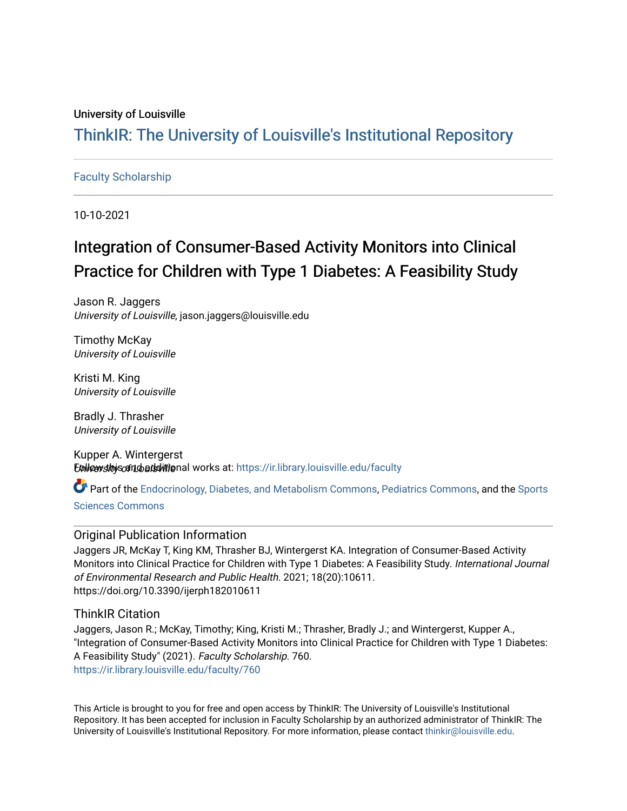## University of Louisville

# ThinkIR: The Univ[ersity of Louisville's Institutional Reposit](https://ir.library.louisville.edu/)ory

## [Faculty Scholarship](https://ir.library.louisville.edu/faculty)

10-10-2021

# Integration of Consumer-Based Activity Monitors into Clinical Practice for Children with Type 1 Diabetes: A Feasibility Study

Jason R. Jaggers University of Louisville, jason.jaggers@louisville.edu

Timothy McKay University of Louisville

Kristi M. King University of Louisville

Bradly J. Thrasher University of Louisville

Kupper A. Wintergerst Ebliow sthis can bats witenal works at: [https://ir.library.louisville.edu/faculty](https://ir.library.louisville.edu/faculty?utm_source=ir.library.louisville.edu%2Ffaculty%2F760&utm_medium=PDF&utm_campaign=PDFCoverPages)

Part of the [Endocrinology, Diabetes, and Metabolism Commons](http://network.bepress.com/hgg/discipline/686?utm_source=ir.library.louisville.edu%2Ffaculty%2F760&utm_medium=PDF&utm_campaign=PDFCoverPages), [Pediatrics Commons,](http://network.bepress.com/hgg/discipline/700?utm_source=ir.library.louisville.edu%2Ffaculty%2F760&utm_medium=PDF&utm_campaign=PDFCoverPages) and the [Sports](http://network.bepress.com/hgg/discipline/759?utm_source=ir.library.louisville.edu%2Ffaculty%2F760&utm_medium=PDF&utm_campaign=PDFCoverPages)

[Sciences Commons](http://network.bepress.com/hgg/discipline/759?utm_source=ir.library.louisville.edu%2Ffaculty%2F760&utm_medium=PDF&utm_campaign=PDFCoverPages) 

## Original Publication Information

Jaggers JR, McKay T, King KM, Thrasher BJ, Wintergerst KA. Integration of Consumer-Based Activity Monitors into Clinical Practice for Children with Type 1 Diabetes: A Feasibility Study. International Journal of Environmental Research and Public Health. 2021; 18(20):10611. https://doi.org/10.3390/ijerph182010611

ThinkIR Citation

Jaggers, Jason R.; McKay, Timothy; King, Kristi M.; Thrasher, Bradly J.; and Wintergerst, Kupper A., "Integration of Consumer-Based Activity Monitors into Clinical Practice for Children with Type 1 Diabetes: A Feasibility Study" (2021). Faculty Scholarship. 760. [https://ir.library.louisville.edu/faculty/760](https://ir.library.louisville.edu/faculty/760?utm_source=ir.library.louisville.edu%2Ffaculty%2F760&utm_medium=PDF&utm_campaign=PDFCoverPages) 

This Article is brought to you for free and open access by ThinkIR: The University of Louisville's Institutional Repository. It has been accepted for inclusion in Faculty Scholarship by an authorized administrator of ThinkIR: The University of Louisville's Institutional Repository. For more information, please contact [thinkir@louisville.edu](mailto:thinkir@louisville.edu).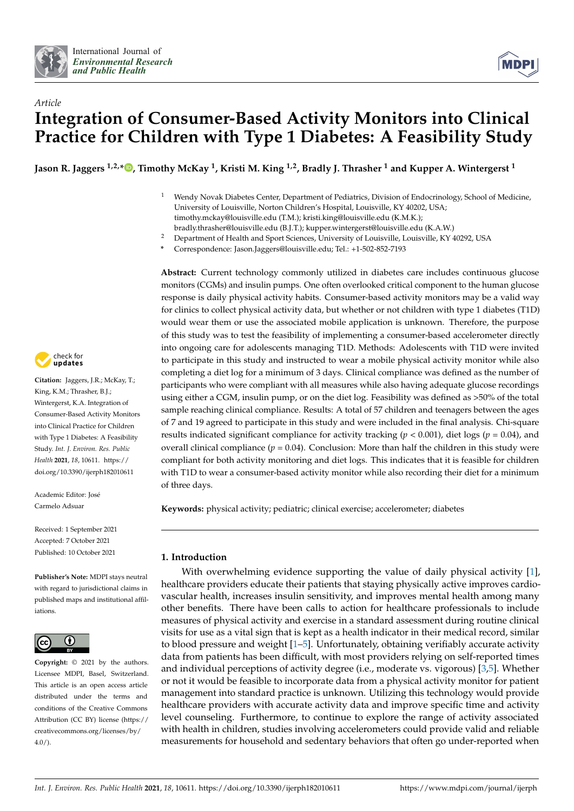



## *Article* **Integration of Consumer-Based Activity Monitors into Clinical Practice for Children with Type 1 Diabetes: A Feasibility Study**

**Jason R. Jaggers 1,2,\* [,](https://orcid.org/0000-0002-2567-615X) Timothy McKay <sup>1</sup> , Kristi M. King 1,2, Bradly J. Thrasher <sup>1</sup> and Kupper A. Wintergerst <sup>1</sup>**

- <sup>1</sup> Wendy Novak Diabetes Center, Department of Pediatrics, Division of Endocrinology, School of Medicine, University of Louisville, Norton Children's Hospital, Louisville, KY 40202, USA; timothy.mckay@louisville.edu (T.M.); kristi.king@louisville.edu (K.M.K.);
- bradly.thrasher@louisville.edu (B.J.T.); kupper.wintergerst@louisville.edu (K.A.W.)
- <sup>2</sup> Department of Health and Sport Sciences, University of Louisville, Louisville, KY 40292, USA
- **\*** Correspondence: Jason.Jaggers@louisville.edu; Tel.: +1-502-852-7193

**Abstract:** Current technology commonly utilized in diabetes care includes continuous glucose monitors (CGMs) and insulin pumps. One often overlooked critical component to the human glucose response is daily physical activity habits. Consumer-based activity monitors may be a valid way for clinics to collect physical activity data, but whether or not children with type 1 diabetes (T1D) would wear them or use the associated mobile application is unknown. Therefore, the purpose of this study was to test the feasibility of implementing a consumer-based accelerometer directly into ongoing care for adolescents managing T1D. Methods: Adolescents with T1D were invited to participate in this study and instructed to wear a mobile physical activity monitor while also completing a diet log for a minimum of 3 days. Clinical compliance was defined as the number of participants who were compliant with all measures while also having adequate glucose recordings using either a CGM, insulin pump, or on the diet log. Feasibility was defined as >50% of the total sample reaching clinical compliance. Results: A total of 57 children and teenagers between the ages of 7 and 19 agreed to participate in this study and were included in the final analysis. Chi-square results indicated significant compliance for activity tracking ( $p < 0.001$ ), diet logs ( $p = 0.04$ ), and overall clinical compliance ( $p = 0.04$ ). Conclusion: More than half the children in this study were compliant for both activity monitoring and diet logs. This indicates that it is feasible for children with T1D to wear a consumer-based activity monitor while also recording their diet for a minimum of three days.

**Keywords:** physical activity; pediatric; clinical exercise; accelerometer; diabetes

## **1. Introduction**

With overwhelming evidence supporting the value of daily physical activity [\[1\]](#page-8-0), healthcare providers educate their patients that staying physically active improves cardiovascular health, increases insulin sensitivity, and improves mental health among many other benefits. There have been calls to action for healthcare professionals to include measures of physical activity and exercise in a standard assessment during routine clinical visits for use as a vital sign that is kept as a health indicator in their medical record, similar to blood pressure and weight [\[1](#page-8-0)[–5\]](#page-8-1). Unfortunately, obtaining verifiably accurate activity data from patients has been difficult, with most providers relying on self-reported times and individual perceptions of activity degree (i.e., moderate vs. vigorous) [\[3](#page-8-2)[,5\]](#page-8-1). Whether or not it would be feasible to incorporate data from a physical activity monitor for patient management into standard practice is unknown. Utilizing this technology would provide healthcare providers with accurate activity data and improve specific time and activity level counseling. Furthermore, to continue to explore the range of activity associated with health in children, studies involving accelerometers could provide valid and reliable measurements for household and sedentary behaviors that often go under-reported when



**Citation:** Jaggers, J.R.; McKay, T.; King, K.M.; Thrasher, B.J.; Wintergerst, K.A. Integration of Consumer-Based Activity Monitors into Clinical Practice for Children with Type 1 Diabetes: A Feasibility Study. *Int. J. Environ. Res. Public Health* **2021**, *18*, 10611. [https://](https://doi.org/10.3390/ijerph182010611) [doi.org/10.3390/ijerph182010611](https://doi.org/10.3390/ijerph182010611)

Academic Editor: José Carmelo Adsuar

Received: 1 September 2021 Accepted: 7 October 2021 Published: 10 October 2021

**Publisher's Note:** MDPI stays neutral with regard to jurisdictional claims in published maps and institutional affiliations.



**Copyright:** © 2021 by the authors. Licensee MDPI, Basel, Switzerland. This article is an open access article distributed under the terms and conditions of the Creative Commons Attribution (CC BY) license (https:/[/](https://creativecommons.org/licenses/by/4.0/) [creativecommons.org/licenses/by/](https://creativecommons.org/licenses/by/4.0/)  $4.0/$ ).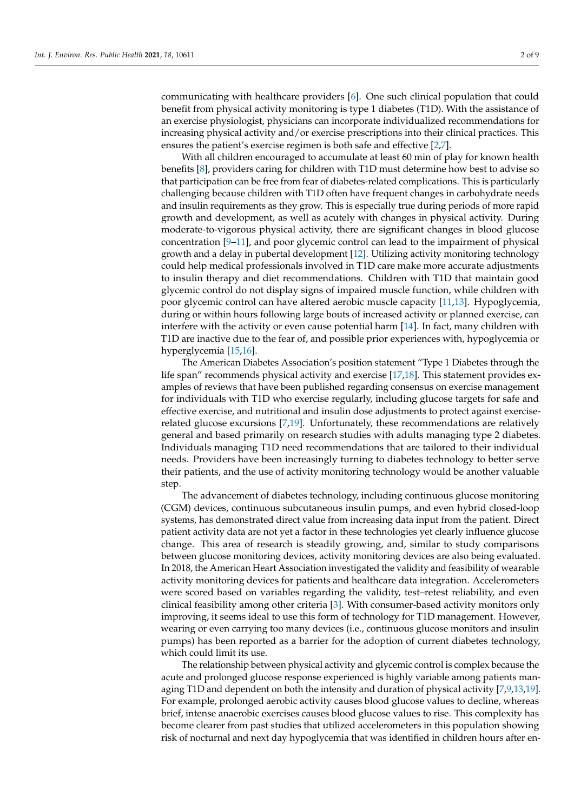communicating with healthcare providers [\[6\]](#page-8-3). One such clinical population that could benefit from physical activity monitoring is type 1 diabetes (T1D). With the assistance of an exercise physiologist, physicians can incorporate individualized recommendations for increasing physical activity and/or exercise prescriptions into their clinical practices. This ensures the patient's exercise regimen is both safe and effective [\[2,](#page-8-4)[7\]](#page-9-0).

With all children encouraged to accumulate at least 60 min of play for known health benefits [\[8\]](#page-9-1), providers caring for children with T1D must determine how best to advise so that participation can be free from fear of diabetes-related complications. This is particularly challenging because children with T1D often have frequent changes in carbohydrate needs and insulin requirements as they grow. This is especially true during periods of more rapid growth and development, as well as acutely with changes in physical activity. During moderate-to-vigorous physical activity, there are significant changes in blood glucose concentration [\[9–](#page-9-2)[11\]](#page-9-3), and poor glycemic control can lead to the impairment of physical growth and a delay in pubertal development [\[12\]](#page-9-4). Utilizing activity monitoring technology could help medical professionals involved in T1D care make more accurate adjustments to insulin therapy and diet recommendations. Children with T1D that maintain good glycemic control do not display signs of impaired muscle function, while children with poor glycemic control can have altered aerobic muscle capacity [\[11](#page-9-3)[,13\]](#page-9-5). Hypoglycemia, during or within hours following large bouts of increased activity or planned exercise, can interfere with the activity or even cause potential harm [\[14\]](#page-9-6). In fact, many children with T1D are inactive due to the fear of, and possible prior experiences with, hypoglycemia or hyperglycemia [\[15,](#page-9-7)[16\]](#page-9-8).

The American Diabetes Association's position statement "Type 1 Diabetes through the life span" recommends physical activity and exercise [\[17,](#page-9-9)[18\]](#page-9-10). This statement provides examples of reviews that have been published regarding consensus on exercise management for individuals with T1D who exercise regularly, including glucose targets for safe and effective exercise, and nutritional and insulin dose adjustments to protect against exerciserelated glucose excursions [\[7](#page-9-0)[,19\]](#page-9-11). Unfortunately, these recommendations are relatively general and based primarily on research studies with adults managing type 2 diabetes. Individuals managing T1D need recommendations that are tailored to their individual needs. Providers have been increasingly turning to diabetes technology to better serve their patients, and the use of activity monitoring technology would be another valuable step.

The advancement of diabetes technology, including continuous glucose monitoring (CGM) devices, continuous subcutaneous insulin pumps, and even hybrid closed-loop systems, has demonstrated direct value from increasing data input from the patient. Direct patient activity data are not yet a factor in these technologies yet clearly influence glucose change. This area of research is steadily growing, and, similar to study comparisons between glucose monitoring devices, activity monitoring devices are also being evaluated. In 2018, the American Heart Association investigated the validity and feasibility of wearable activity monitoring devices for patients and healthcare data integration. Accelerometers were scored based on variables regarding the validity, test–retest reliability, and even clinical feasibility among other criteria [\[3\]](#page-8-2). With consumer-based activity monitors only improving, it seems ideal to use this form of technology for T1D management. However, wearing or even carrying too many devices (i.e., continuous glucose monitors and insulin pumps) has been reported as a barrier for the adoption of current diabetes technology, which could limit its use.

The relationship between physical activity and glycemic control is complex because the acute and prolonged glucose response experienced is highly variable among patients managing T1D and dependent on both the intensity and duration of physical activity [\[7,](#page-9-0)[9,](#page-9-2)[13](#page-9-5)[,19\]](#page-9-11). For example, prolonged aerobic activity causes blood glucose values to decline, whereas brief, intense anaerobic exercises causes blood glucose values to rise. This complexity has become clearer from past studies that utilized accelerometers in this population showing risk of nocturnal and next day hypoglycemia that was identified in children hours after en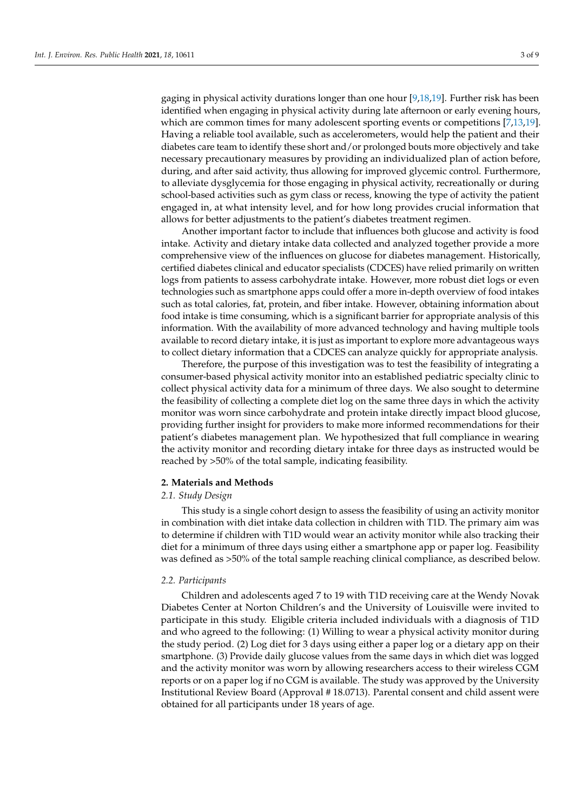gaging in physical activity durations longer than one hour [\[9](#page-9-2)[,18](#page-9-10)[,19\]](#page-9-11). Further risk has been identified when engaging in physical activity during late afternoon or early evening hours, which are common times for many adolescent sporting events or competitions [\[7,](#page-9-0)[13,](#page-9-5)[19\]](#page-9-11). Having a reliable tool available, such as accelerometers, would help the patient and their diabetes care team to identify these short and/or prolonged bouts more objectively and take necessary precautionary measures by providing an individualized plan of action before, during, and after said activity, thus allowing for improved glycemic control. Furthermore, to alleviate dysglycemia for those engaging in physical activity, recreationally or during school-based activities such as gym class or recess, knowing the type of activity the patient engaged in, at what intensity level, and for how long provides crucial information that allows for better adjustments to the patient's diabetes treatment regimen.

Another important factor to include that influences both glucose and activity is food intake. Activity and dietary intake data collected and analyzed together provide a more comprehensive view of the influences on glucose for diabetes management. Historically, certified diabetes clinical and educator specialists (CDCES) have relied primarily on written logs from patients to assess carbohydrate intake. However, more robust diet logs or even technologies such as smartphone apps could offer a more in-depth overview of food intakes such as total calories, fat, protein, and fiber intake. However, obtaining information about food intake is time consuming, which is a significant barrier for appropriate analysis of this information. With the availability of more advanced technology and having multiple tools available to record dietary intake, it is just as important to explore more advantageous ways to collect dietary information that a CDCES can analyze quickly for appropriate analysis.

Therefore, the purpose of this investigation was to test the feasibility of integrating a consumer-based physical activity monitor into an established pediatric specialty clinic to collect physical activity data for a minimum of three days. We also sought to determine the feasibility of collecting a complete diet log on the same three days in which the activity monitor was worn since carbohydrate and protein intake directly impact blood glucose, providing further insight for providers to make more informed recommendations for their patient's diabetes management plan. We hypothesized that full compliance in wearing the activity monitor and recording dietary intake for three days as instructed would be reached by >50% of the total sample, indicating feasibility.

#### **2. Materials and Methods**

#### *2.1. Study Design*

This study is a single cohort design to assess the feasibility of using an activity monitor in combination with diet intake data collection in children with T1D. The primary aim was to determine if children with T1D would wear an activity monitor while also tracking their diet for a minimum of three days using either a smartphone app or paper log. Feasibility was defined as >50% of the total sample reaching clinical compliance, as described below.

#### *2.2. Participants*

Children and adolescents aged 7 to 19 with T1D receiving care at the Wendy Novak Diabetes Center at Norton Children's and the University of Louisville were invited to participate in this study. Eligible criteria included individuals with a diagnosis of T1D and who agreed to the following: (1) Willing to wear a physical activity monitor during the study period. (2) Log diet for 3 days using either a paper log or a dietary app on their smartphone. (3) Provide daily glucose values from the same days in which diet was logged and the activity monitor was worn by allowing researchers access to their wireless CGM reports or on a paper log if no CGM is available. The study was approved by the University Institutional Review Board (Approval # 18.0713). Parental consent and child assent were obtained for all participants under 18 years of age.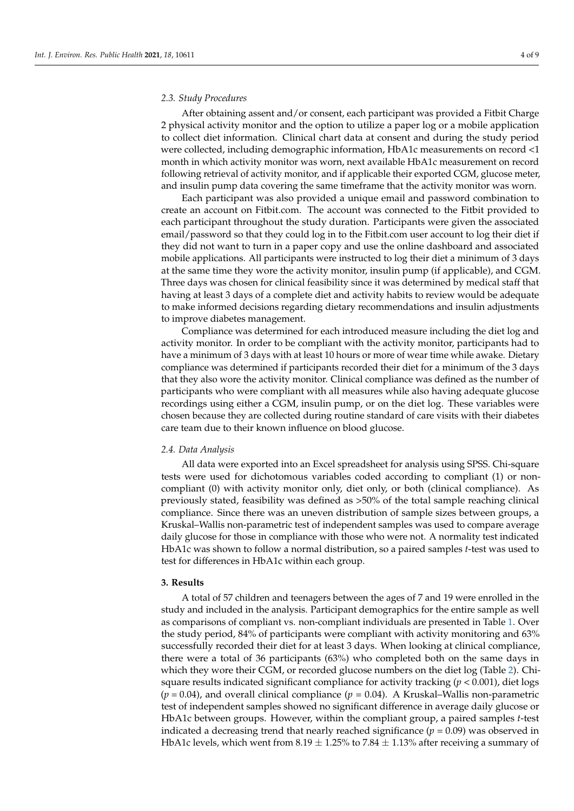#### *2.3. Study Procedures*

After obtaining assent and/or consent, each participant was provided a Fitbit Charge 2 physical activity monitor and the option to utilize a paper log or a mobile application to collect diet information. Clinical chart data at consent and during the study period were collected, including demographic information, HbA1c measurements on record <1 month in which activity monitor was worn, next available HbA1c measurement on record following retrieval of activity monitor, and if applicable their exported CGM, glucose meter, and insulin pump data covering the same timeframe that the activity monitor was worn.

Each participant was also provided a unique email and password combination to create an account on Fitbit.com. The account was connected to the Fitbit provided to each participant throughout the study duration. Participants were given the associated email/password so that they could log in to the Fitbit.com user account to log their diet if they did not want to turn in a paper copy and use the online dashboard and associated mobile applications. All participants were instructed to log their diet a minimum of 3 days at the same time they wore the activity monitor, insulin pump (if applicable), and CGM. Three days was chosen for clinical feasibility since it was determined by medical staff that having at least 3 days of a complete diet and activity habits to review would be adequate to make informed decisions regarding dietary recommendations and insulin adjustments to improve diabetes management.

Compliance was determined for each introduced measure including the diet log and activity monitor. In order to be compliant with the activity monitor, participants had to have a minimum of 3 days with at least 10 hours or more of wear time while awake. Dietary compliance was determined if participants recorded their diet for a minimum of the 3 days that they also wore the activity monitor. Clinical compliance was defined as the number of participants who were compliant with all measures while also having adequate glucose recordings using either a CGM, insulin pump, or on the diet log. These variables were chosen because they are collected during routine standard of care visits with their diabetes care team due to their known influence on blood glucose.

#### *2.4. Data Analysis*

All data were exported into an Excel spreadsheet for analysis using SPSS. Chi-square tests were used for dichotomous variables coded according to compliant (1) or noncompliant (0) with activity monitor only, diet only, or both (clinical compliance). As previously stated, feasibility was defined as >50% of the total sample reaching clinical compliance. Since there was an uneven distribution of sample sizes between groups, a Kruskal–Wallis non-parametric test of independent samples was used to compare average daily glucose for those in compliance with those who were not. A normality test indicated HbA1c was shown to follow a normal distribution, so a paired samples *t*-test was used to test for differences in HbA1c within each group.

#### **3. Results**

A total of 57 children and teenagers between the ages of 7 and 19 were enrolled in the study and included in the analysis. Participant demographics for the entire sample as well as comparisons of compliant vs. non-compliant individuals are presented in Table [1.](#page-5-0) Over the study period, 84% of participants were compliant with activity monitoring and 63% successfully recorded their diet for at least 3 days. When looking at clinical compliance, there were a total of 36 participants (63%) who completed both on the same days in which they wore their CGM, or recorded glucose numbers on the diet log (Table [2\)](#page-5-1). Chisquare results indicated significant compliance for activity tracking (*p* < 0.001), diet logs (*p* = 0.04), and overall clinical compliance (*p* = 0.04). A Kruskal–Wallis non-parametric test of independent samples showed no significant difference in average daily glucose or HbA1c between groups. However, within the compliant group, a paired samples *t*-test indicated a decreasing trend that nearly reached significance  $(p = 0.09)$  was observed in HbA1c levels, which went from  $8.19 \pm 1.25\%$  to 7.84  $\pm$  1.13% after receiving a summary of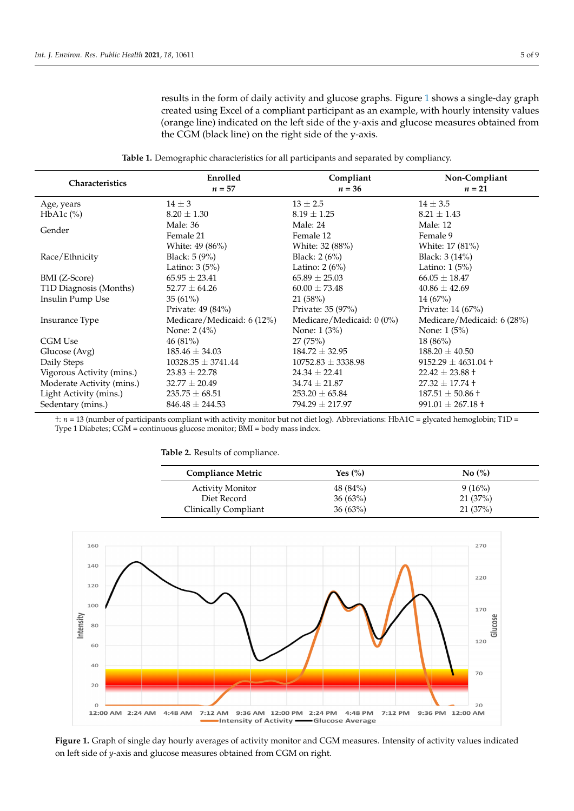results in the form of daily activity and glucose graphs. Figure [1](#page-5-2) shows a single-day graph created using Excel of a compliant participant as an example, with hourly intensity values (orange line) indicated on the left side of the y-axis and glucose measures obtained from the CGM (black line) on the right side of the y-axis.

**Table 1.** Demographic characteristics for all participants and separated by compliancy.

<span id="page-5-0"></span>

| Characteristics           | Enrolled                   | Compliant                 | Non-Compliant               |
|---------------------------|----------------------------|---------------------------|-----------------------------|
|                           | $n = 57$                   | $n = 36$                  | $n=21$                      |
| Age, years                | $14 \pm 3$                 | $13 \pm 2.5$              | $14 \pm 3.5$                |
| $HbA1c$ $\%$ )            | $8.20 \pm 1.30$            | $8.19 \pm 1.25$           | $8.21 \pm 1.43$             |
| Gender                    | Male: 36                   | Male: 24                  | Male: 12                    |
|                           | Female 21                  | Female 12                 | Female 9                    |
|                           | White: 49 (86%)            | White: 32 (88%)           | White: 17 (81%)             |
| Race/Ethnicity            | Black: 5 (9%)              | Black: $2(6%)$            | Black: $3(14%)$             |
|                           | Latino: $3(5%)$            | Latino: $2(6%)$           | Latino: $1(5%)$             |
| BMI (Z-Score)             | $65.95 \pm 23.41$          | $65.89 \pm 25.03$         | $66.05 \pm 18.47$           |
| T1D Diagnosis (Months)    | $52.77 \pm 64.26$          | $60.00 \pm 73.48$         | $40.86 \pm 42.69$           |
| Insulin Pump Use          | 35(61%)                    | 21(58%)                   | 14(67%)                     |
|                           | Private: 49 (84%)          | Private: 35 (97%)         | Private: 14 (67%)           |
| Insurance Type            | Medicare/Medicaid: 6 (12%) | Medicare/Medicaid: 0 (0%) | Medicare/Medicaid: 6 (28%)  |
|                           | None: $2(4%)$              | None: $1(3%)$             | None: $1(5%)$               |
| CGM Use                   | 46(81%)                    | 27(75%)                   | $18(86\%)$                  |
| Glucose (Avg)             | $185.46 \pm 34.03$         | $184.72 \pm 32.95$        | $188.20 \pm 40.50$          |
| Daily Steps               | $10328.35 \pm 3741.44$     | $10752.83 \pm 3338.98$    | $9152.29 \pm 4631.04 \pm 1$ |
| Vigorous Activity (mins.) | $23.83 \pm 22.78$          | $24.34 \pm 22.41$         | $22.42 \pm 23.88 \pm$       |
| Moderate Activity (mins.) | $32.77 \pm 20.49$          | $34.74 \pm 21.87$         | $27.32 \pm 17.74 \pm 1$     |
| Light Activity (mins.)    | $235.75 \pm 68.51$         | $253.20 \pm 65.84$        | $187.51 \pm 50.86 \pm 1$    |
| Sedentary (mins.)         | $846.48 \pm 244.53$        | $794.29 \pm 217.97$       | $991.01 \pm 267.18 +$       |

†: *n* = 13 (number of participants compliant with activity monitor but not diet log). Abbreviations: HbA1C = glycated hemoglobin; T1D = Type 1 Diabetes; CGM = continuous glucose monitor; BMI = body mass index.

<span id="page-5-1"></span>

| Table 2. Results of compliance. |  |  |  |
|---------------------------------|--|--|--|
|---------------------------------|--|--|--|

| <b>Compliance Metric</b> | Yes $(\% )$ | No(%)     |
|--------------------------|-------------|-----------|
| <b>Activity Monitor</b>  | 48 (84%)    | $9(16\%)$ |
| Diet Record              | $36(63\%)$  | 21(37%)   |
| Clinically Compliant     | $36(63\%)$  | 21(37%)   |

<span id="page-5-2"></span>

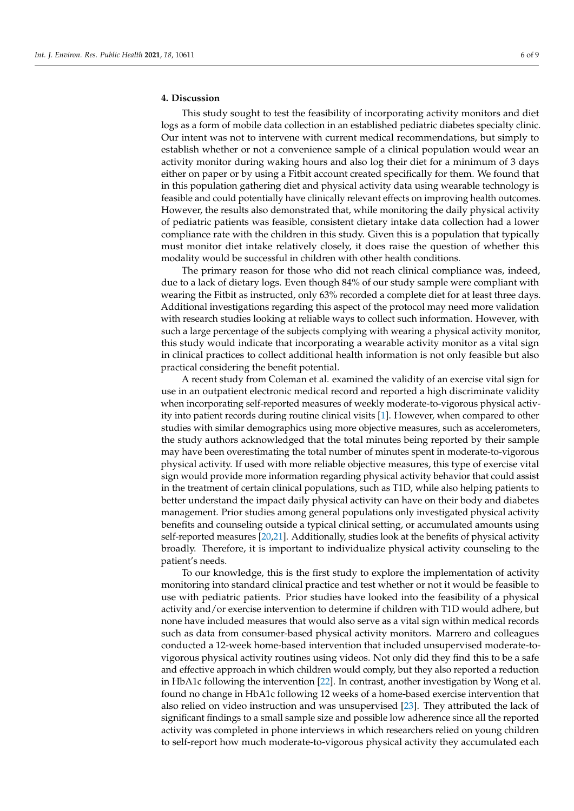### **4. Discussion**

This study sought to test the feasibility of incorporating activity monitors and diet logs as a form of mobile data collection in an established pediatric diabetes specialty clinic. Our intent was not to intervene with current medical recommendations, but simply to establish whether or not a convenience sample of a clinical population would wear an activity monitor during waking hours and also log their diet for a minimum of 3 days either on paper or by using a Fitbit account created specifically for them. We found that in this population gathering diet and physical activity data using wearable technology is feasible and could potentially have clinically relevant effects on improving health outcomes. However, the results also demonstrated that, while monitoring the daily physical activity of pediatric patients was feasible, consistent dietary intake data collection had a lower compliance rate with the children in this study. Given this is a population that typically must monitor diet intake relatively closely, it does raise the question of whether this modality would be successful in children with other health conditions.

The primary reason for those who did not reach clinical compliance was, indeed, due to a lack of dietary logs. Even though 84% of our study sample were compliant with wearing the Fitbit as instructed, only 63% recorded a complete diet for at least three days. Additional investigations regarding this aspect of the protocol may need more validation with research studies looking at reliable ways to collect such information. However, with such a large percentage of the subjects complying with wearing a physical activity monitor, this study would indicate that incorporating a wearable activity monitor as a vital sign in clinical practices to collect additional health information is not only feasible but also practical considering the benefit potential.

A recent study from Coleman et al. examined the validity of an exercise vital sign for use in an outpatient electronic medical record and reported a high discriminate validity when incorporating self-reported measures of weekly moderate-to-vigorous physical activity into patient records during routine clinical visits [\[1\]](#page-8-0). However, when compared to other studies with similar demographics using more objective measures, such as accelerometers, the study authors acknowledged that the total minutes being reported by their sample may have been overestimating the total number of minutes spent in moderate-to-vigorous physical activity. If used with more reliable objective measures, this type of exercise vital sign would provide more information regarding physical activity behavior that could assist in the treatment of certain clinical populations, such as T1D, while also helping patients to better understand the impact daily physical activity can have on their body and diabetes management. Prior studies among general populations only investigated physical activity benefits and counseling outside a typical clinical setting, or accumulated amounts using self-reported measures [\[20,](#page-9-12)[21\]](#page-9-13). Additionally, studies look at the benefits of physical activity broadly. Therefore, it is important to individualize physical activity counseling to the patient's needs.

To our knowledge, this is the first study to explore the implementation of activity monitoring into standard clinical practice and test whether or not it would be feasible to use with pediatric patients. Prior studies have looked into the feasibility of a physical activity and/or exercise intervention to determine if children with T1D would adhere, but none have included measures that would also serve as a vital sign within medical records such as data from consumer-based physical activity monitors. Marrero and colleagues conducted a 12-week home-based intervention that included unsupervised moderate-tovigorous physical activity routines using videos. Not only did they find this to be a safe and effective approach in which children would comply, but they also reported a reduction in HbA1c following the intervention [\[22\]](#page-9-14). In contrast, another investigation by Wong et al. found no change in HbA1c following 12 weeks of a home-based exercise intervention that also relied on video instruction and was unsupervised [\[23\]](#page-9-15). They attributed the lack of significant findings to a small sample size and possible low adherence since all the reported activity was completed in phone interviews in which researchers relied on young children to self-report how much moderate-to-vigorous physical activity they accumulated each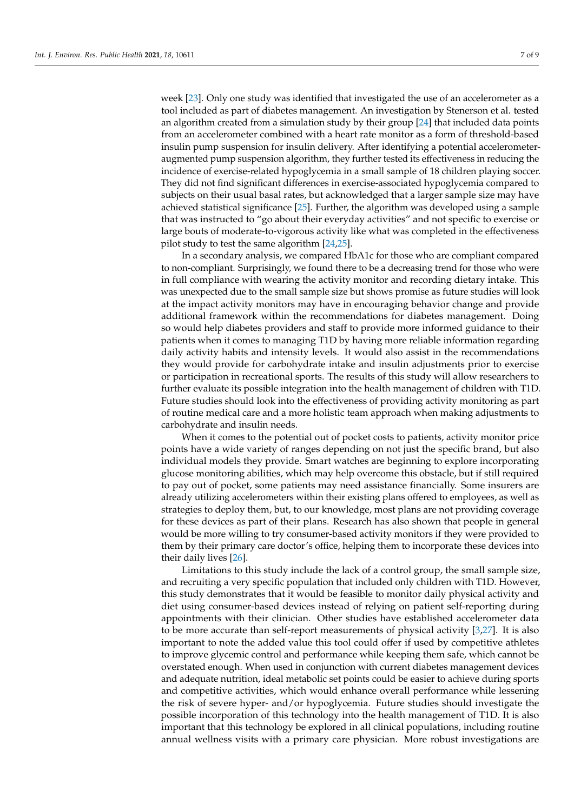week [\[23\]](#page-9-15). Only one study was identified that investigated the use of an accelerometer as a tool included as part of diabetes management. An investigation by Stenerson et al. tested an algorithm created from a simulation study by their group [\[24\]](#page-9-16) that included data points from an accelerometer combined with a heart rate monitor as a form of threshold-based insulin pump suspension for insulin delivery. After identifying a potential accelerometeraugmented pump suspension algorithm, they further tested its effectiveness in reducing the incidence of exercise-related hypoglycemia in a small sample of 18 children playing soccer. They did not find significant differences in exercise-associated hypoglycemia compared to subjects on their usual basal rates, but acknowledged that a larger sample size may have achieved statistical significance [\[25\]](#page-9-17). Further, the algorithm was developed using a sample that was instructed to "go about their everyday activities" and not specific to exercise or large bouts of moderate-to-vigorous activity like what was completed in the effectiveness pilot study to test the same algorithm [\[24,](#page-9-16)[25\]](#page-9-17).

In a secondary analysis, we compared HbA1c for those who are compliant compared to non-compliant. Surprisingly, we found there to be a decreasing trend for those who were in full compliance with wearing the activity monitor and recording dietary intake. This was unexpected due to the small sample size but shows promise as future studies will look at the impact activity monitors may have in encouraging behavior change and provide additional framework within the recommendations for diabetes management. Doing so would help diabetes providers and staff to provide more informed guidance to their patients when it comes to managing T1D by having more reliable information regarding daily activity habits and intensity levels. It would also assist in the recommendations they would provide for carbohydrate intake and insulin adjustments prior to exercise or participation in recreational sports. The results of this study will allow researchers to further evaluate its possible integration into the health management of children with T1D. Future studies should look into the effectiveness of providing activity monitoring as part of routine medical care and a more holistic team approach when making adjustments to carbohydrate and insulin needs.

When it comes to the potential out of pocket costs to patients, activity monitor price points have a wide variety of ranges depending on not just the specific brand, but also individual models they provide. Smart watches are beginning to explore incorporating glucose monitoring abilities, which may help overcome this obstacle, but if still required to pay out of pocket, some patients may need assistance financially. Some insurers are already utilizing accelerometers within their existing plans offered to employees, as well as strategies to deploy them, but, to our knowledge, most plans are not providing coverage for these devices as part of their plans. Research has also shown that people in general would be more willing to try consumer-based activity monitors if they were provided to them by their primary care doctor's office, helping them to incorporate these devices into their daily lives [\[26\]](#page-9-18).

Limitations to this study include the lack of a control group, the small sample size, and recruiting a very specific population that included only children with T1D. However, this study demonstrates that it would be feasible to monitor daily physical activity and diet using consumer-based devices instead of relying on patient self-reporting during appointments with their clinician. Other studies have established accelerometer data to be more accurate than self-report measurements of physical activity [\[3,](#page-8-2)[27\]](#page-9-19). It is also important to note the added value this tool could offer if used by competitive athletes to improve glycemic control and performance while keeping them safe, which cannot be overstated enough. When used in conjunction with current diabetes management devices and adequate nutrition, ideal metabolic set points could be easier to achieve during sports and competitive activities, which would enhance overall performance while lessening the risk of severe hyper- and/or hypoglycemia. Future studies should investigate the possible incorporation of this technology into the health management of T1D. It is also important that this technology be explored in all clinical populations, including routine annual wellness visits with a primary care physician. More robust investigations are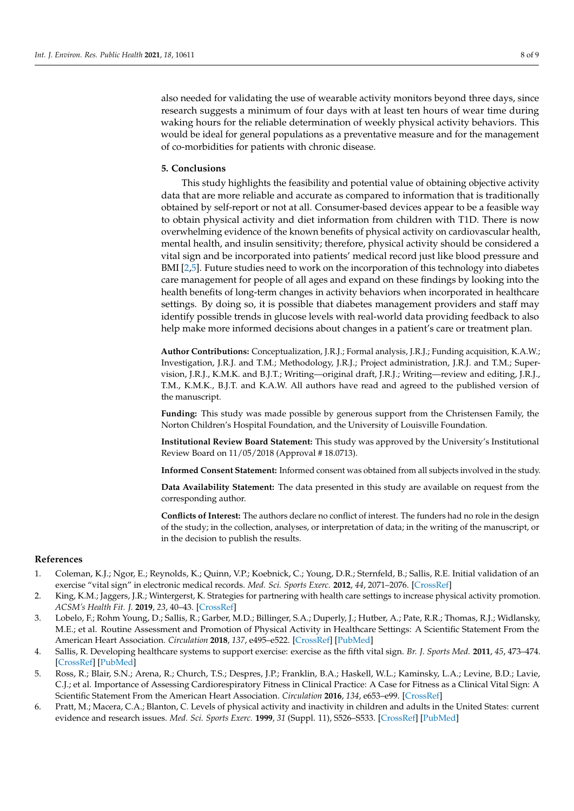also needed for validating the use of wearable activity monitors beyond three days, since research suggests a minimum of four days with at least ten hours of wear time during waking hours for the reliable determination of weekly physical activity behaviors. This would be ideal for general populations as a preventative measure and for the management of co-morbidities for patients with chronic disease.

#### **5. Conclusions**

This study highlights the feasibility and potential value of obtaining objective activity data that are more reliable and accurate as compared to information that is traditionally obtained by self-report or not at all. Consumer-based devices appear to be a feasible way to obtain physical activity and diet information from children with T1D. There is now overwhelming evidence of the known benefits of physical activity on cardiovascular health, mental health, and insulin sensitivity; therefore, physical activity should be considered a vital sign and be incorporated into patients' medical record just like blood pressure and BMI [\[2,](#page-8-4)[5\]](#page-8-1). Future studies need to work on the incorporation of this technology into diabetes care management for people of all ages and expand on these findings by looking into the health benefits of long-term changes in activity behaviors when incorporated in healthcare settings. By doing so, it is possible that diabetes management providers and staff may identify possible trends in glucose levels with real-world data providing feedback to also help make more informed decisions about changes in a patient's care or treatment plan.

**Author Contributions:** Conceptualization, J.R.J.; Formal analysis, J.R.J.; Funding acquisition, K.A.W.; Investigation, J.R.J. and T.M.; Methodology, J.R.J.; Project administration, J.R.J. and T.M.; Supervision, J.R.J., K.M.K. and B.J.T.; Writing—original draft, J.R.J.; Writing—review and editing, J.R.J., T.M., K.M.K., B.J.T. and K.A.W. All authors have read and agreed to the published version of the manuscript.

**Funding:** This study was made possible by generous support from the Christensen Family, the Norton Children's Hospital Foundation, and the University of Louisville Foundation.

**Institutional Review Board Statement:** This study was approved by the University's Institutional Review Board on 11/05/2018 (Approval # 18.0713).

**Informed Consent Statement:** Informed consent was obtained from all subjects involved in the study.

**Data Availability Statement:** The data presented in this study are available on request from the corresponding author.

**Conflicts of Interest:** The authors declare no conflict of interest. The funders had no role in the design of the study; in the collection, analyses, or interpretation of data; in the writing of the manuscript, or in the decision to publish the results.

#### **References**

- <span id="page-8-0"></span>1. Coleman, K.J.; Ngor, E.; Reynolds, K.; Quinn, V.P.; Koebnick, C.; Young, D.R.; Sternfeld, B.; Sallis, R.E. Initial validation of an exercise "vital sign" in electronic medical records. *Med. Sci. Sports Exerc.* **2012**, *44*, 2071–2076. [\[CrossRef\]](http://doi.org/10.1249/MSS.0b013e3182630ec1)
- <span id="page-8-4"></span>2. King, K.M.; Jaggers, J.R.; Wintergerst, K. Strategies for partnering with health care settings to increase physical activity promotion. *ACSM's Health Fit. J.* **2019**, *23*, 40–43. [\[CrossRef\]](http://doi.org/10.1249/FIT.0000000000000486)
- <span id="page-8-2"></span>3. Lobelo, F.; Rohm Young, D.; Sallis, R.; Garber, M.D.; Billinger, S.A.; Duperly, J.; Hutber, A.; Pate, R.R.; Thomas, R.J.; Widlansky, M.E.; et al. Routine Assessment and Promotion of Physical Activity in Healthcare Settings: A Scientific Statement From the American Heart Association. *Circulation* **2018**, *137*, e495–e522. [\[CrossRef\]](http://doi.org/10.1161/CIR.0000000000000559) [\[PubMed\]](http://www.ncbi.nlm.nih.gov/pubmed/29618598)
- 4. Sallis, R. Developing healthcare systems to support exercise: exercise as the fifth vital sign. *Br. J. Sports Med.* **2011**, *45*, 473–474. [\[CrossRef\]](http://doi.org/10.1136/bjsm.2010.083469) [\[PubMed\]](http://www.ncbi.nlm.nih.gov/pubmed/21292925)
- <span id="page-8-1"></span>5. Ross, R.; Blair, S.N.; Arena, R.; Church, T.S.; Despres, J.P.; Franklin, B.A.; Haskell, W.L.; Kaminsky, L.A.; Levine, B.D.; Lavie, C.J.; et al. Importance of Assessing Cardiorespiratory Fitness in Clinical Practice: A Case for Fitness as a Clinical Vital Sign: A Scientific Statement From the American Heart Association. *Circulation* **2016**, *134*, e653–e99. [\[CrossRef\]](http://doi.org/10.1161/CIR.0000000000000461)
- <span id="page-8-3"></span>6. Pratt, M.; Macera, C.A.; Blanton, C. Levels of physical activity and inactivity in children and adults in the United States: current evidence and research issues. *Med. Sci. Sports Exerc.* **1999**, *31* (Suppl. 11), S526–S533. [\[CrossRef\]](http://doi.org/10.1097/00005768-199911001-00007) [\[PubMed\]](http://www.ncbi.nlm.nih.gov/pubmed/10593523)